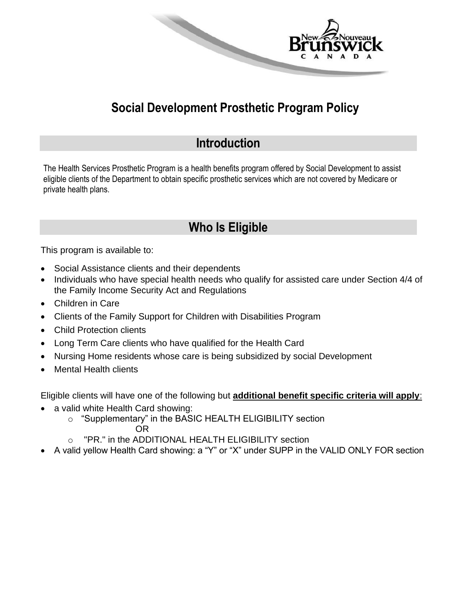

## **Social Development Prosthetic Program Policy**

### **Introduction**

The Health Services Prosthetic Program is a health benefits program offered by Social Development to assist eligible clients of the Department to obtain specific prosthetic services which are not covered by Medicare or private health plans.

## **Who Is Eligible**

This program is available to:

- Social Assistance clients and their dependents
- Individuals who have special health needs who qualify for assisted care under Section 4/4 of the Family Income Security Act and Regulations
- Children in Care
- Clients of the Family Support for Children with Disabilities Program
- Child Protection clients
- Long Term Care clients who have qualified for the Health Card
- Nursing Home residents whose care is being subsidized by social Development
- Mental Health clients

Eligible clients will have one of the following but **additional benefit specific criteria will apply**:

- a valid white Health Card showing:
	- o "Supplementary" in the BASIC HEALTH ELIGIBILITY section
		- OR
	- o "PR." in the ADDITIONAL HEALTH ELIGIBILITY section
- A valid yellow Health Card showing: a "Y" or "X" under SUPP in the VALID ONLY FOR section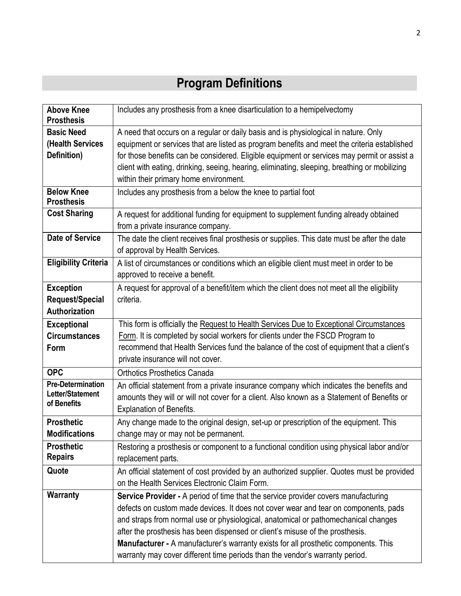# **Program Definitions**

| <b>Above Knee</b><br><b>Prosthesis</b>                                                                                        | Includes any prosthesis from a knee disarticulation to a hemipelvectomy                       |  |  |  |
|-------------------------------------------------------------------------------------------------------------------------------|-----------------------------------------------------------------------------------------------|--|--|--|
| <b>Basic Need</b>                                                                                                             | A need that occurs on a regular or daily basis and is physiological in nature. Only           |  |  |  |
| (Health Services                                                                                                              | equipment or services that are listed as program benefits and meet the criteria established   |  |  |  |
| Definition)                                                                                                                   | for those benefits can be considered. Eligible equipment or services may permit or assist a   |  |  |  |
|                                                                                                                               | client with eating, drinking, seeing, hearing, eliminating, sleeping, breathing or mobilizing |  |  |  |
|                                                                                                                               | within their primary home environment.                                                        |  |  |  |
| <b>Below Knee</b>                                                                                                             | Includes any prosthesis from a below the knee to partial foot                                 |  |  |  |
| <b>Prosthesis</b>                                                                                                             |                                                                                               |  |  |  |
| <b>Cost Sharing</b>                                                                                                           | A request for additional funding for equipment to supplement funding already obtained         |  |  |  |
|                                                                                                                               | from a private insurance company.                                                             |  |  |  |
| Date of Service                                                                                                               | The date the client receives final prosthesis or supplies. This date must be after the date   |  |  |  |
|                                                                                                                               | of approval by Health Services.                                                               |  |  |  |
| <b>Eligibility Criteria</b>                                                                                                   | A list of circumstances or conditions which an eligible client must meet in order to be       |  |  |  |
|                                                                                                                               | approved to receive a benefit.                                                                |  |  |  |
| <b>Exception</b>                                                                                                              | A request for approval of a benefit/item which the client does not meet all the eligibility   |  |  |  |
| Request/Special                                                                                                               | criteria.                                                                                     |  |  |  |
| Authorization                                                                                                                 |                                                                                               |  |  |  |
| <b>Exceptional</b>                                                                                                            | This form is officially the Request to Health Services Due to Exceptional Circumstances       |  |  |  |
| <b>Circumstances</b>                                                                                                          | Form. It is completed by social workers for clients under the FSCD Program to                 |  |  |  |
| Form                                                                                                                          | recommend that Health Services fund the balance of the cost of equipment that a client's      |  |  |  |
|                                                                                                                               | private insurance will not cover.                                                             |  |  |  |
| <b>OPC</b>                                                                                                                    | <b>Orthotics Prosthetics Canada</b>                                                           |  |  |  |
| <b>Pre-Determination</b>                                                                                                      | An official statement from a private insurance company which indicates the benefits and       |  |  |  |
| Letter/Statement<br>amounts they will or will not cover for a client. Also known as a Statement of Benefits or<br>of Benefits |                                                                                               |  |  |  |
|                                                                                                                               | <b>Explanation of Benefits.</b>                                                               |  |  |  |
| <b>Prosthetic</b>                                                                                                             | Any change made to the original design, set-up or prescription of the equipment. This         |  |  |  |
| <b>Modifications</b>                                                                                                          | change may or may not be permanent.                                                           |  |  |  |
| <b>Prosthetic</b>                                                                                                             | Restoring a prosthesis or component to a functional condition using physical labor and/or     |  |  |  |
| <b>Repairs</b>                                                                                                                | replacement parts.                                                                            |  |  |  |
| Quote                                                                                                                         | An official statement of cost provided by an authorized supplier. Quotes must be provided     |  |  |  |
|                                                                                                                               | on the Health Services Electronic Claim Form.                                                 |  |  |  |
| <b>Warranty</b>                                                                                                               | Service Provider - A period of time that the service provider covers manufacturing            |  |  |  |
|                                                                                                                               | defects on custom made devices. It does not cover wear and tear on components, pads           |  |  |  |
|                                                                                                                               | and straps from normal use or physiological, anatomical or pathomechanical changes            |  |  |  |
|                                                                                                                               | after the prosthesis has been dispensed or client's misuse of the prosthesis.                 |  |  |  |
|                                                                                                                               | Manufacturer - A manufacturer's warranty exists for all prosthetic components. This           |  |  |  |
|                                                                                                                               | warranty may cover different time periods than the vendor's warranty period.                  |  |  |  |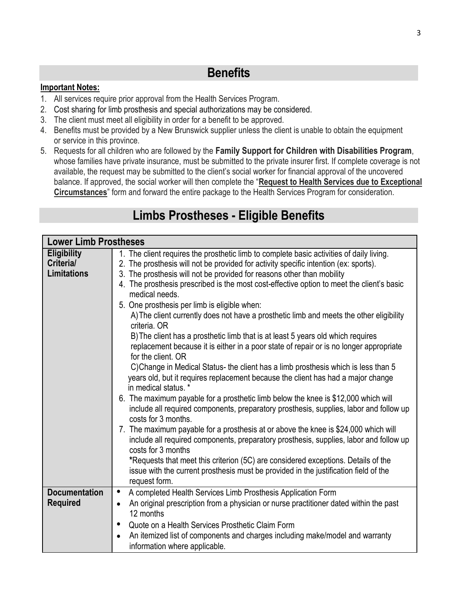### **Benefits**

#### **Important Notes:**

- 1. All services require prior approval from the Health Services Program.
- 2. Cost sharing for limb prosthesis and special authorizations may be considered.
- 3. The client must meet all eligibility in order for a benefit to be approved.
- 4. Benefits must be provided by a New Brunswick supplier unless the client is unable to obtain the equipment or service in this province.
- 5. Requests for all children who are followed by the **Family Support for Children with Disabilities Program**, whose families have private insurance, must be submitted to the private insurer first. If complete coverage is not available, the request may be submitted to the client's social worker for financial approval of the uncovered balance. If approved, the social worker will then complete the "**Request to Health Services due to Exceptional Circumstances**" form and forward the entire package to the Health Services Program for consideration.

| <b>Lower Limb Prostheses</b>                          |                                                                                                                                                                                                                                                                                                                                                                                                                                                                                                                                                                                                                                                                                                                                                                                                                                                                                                                                                                                                                                                                                                                                                                                                                                                                                                                                                                                                                                                                                                                                      |
|-------------------------------------------------------|--------------------------------------------------------------------------------------------------------------------------------------------------------------------------------------------------------------------------------------------------------------------------------------------------------------------------------------------------------------------------------------------------------------------------------------------------------------------------------------------------------------------------------------------------------------------------------------------------------------------------------------------------------------------------------------------------------------------------------------------------------------------------------------------------------------------------------------------------------------------------------------------------------------------------------------------------------------------------------------------------------------------------------------------------------------------------------------------------------------------------------------------------------------------------------------------------------------------------------------------------------------------------------------------------------------------------------------------------------------------------------------------------------------------------------------------------------------------------------------------------------------------------------------|
| <b>Eligibility</b><br>Criteria/<br><b>Limitations</b> | 1. The client requires the prosthetic limb to complete basic activities of daily living.<br>2. The prosthesis will not be provided for activity specific intention (ex: sports).<br>3. The prosthesis will not be provided for reasons other than mobility<br>4. The prosthesis prescribed is the most cost-effective option to meet the client's basic<br>medical needs.<br>5. One prosthesis per limb is eligible when:<br>A) The client currently does not have a prosthetic limb and meets the other eligibility<br>criteria. OR<br>B) The client has a prosthetic limb that is at least 5 years old which requires<br>replacement because it is either in a poor state of repair or is no longer appropriate<br>for the client. OR<br>C) Change in Medical Status- the client has a limb prosthesis which is less than 5<br>years old, but it requires replacement because the client has had a major change<br>in medical status. *<br>6. The maximum payable for a prosthetic limb below the knee is \$12,000 which will<br>include all required components, preparatory prosthesis, supplies, labor and follow up<br>costs for 3 months.<br>7. The maximum payable for a prosthesis at or above the knee is \$24,000 which will<br>include all required components, preparatory prosthesis, supplies, labor and follow up<br>costs for 3 months<br>*Requests that meet this criterion (5C) are considered exceptions. Details of the<br>issue with the current prosthesis must be provided in the justification field of the |
|                                                       | request form.                                                                                                                                                                                                                                                                                                                                                                                                                                                                                                                                                                                                                                                                                                                                                                                                                                                                                                                                                                                                                                                                                                                                                                                                                                                                                                                                                                                                                                                                                                                        |
| <b>Documentation</b><br><b>Required</b>               | A completed Health Services Limb Prosthesis Application Form<br>$\bullet$<br>An original prescription from a physician or nurse practitioner dated within the past<br>12 months                                                                                                                                                                                                                                                                                                                                                                                                                                                                                                                                                                                                                                                                                                                                                                                                                                                                                                                                                                                                                                                                                                                                                                                                                                                                                                                                                      |
|                                                       | Quote on a Health Services Prosthetic Claim Form<br>$\bullet$<br>An itemized list of components and charges including make/model and warranty<br>$\bullet$<br>information where applicable.                                                                                                                                                                                                                                                                                                                                                                                                                                                                                                                                                                                                                                                                                                                                                                                                                                                                                                                                                                                                                                                                                                                                                                                                                                                                                                                                          |

## **Limbs Prostheses - Eligible Benefits**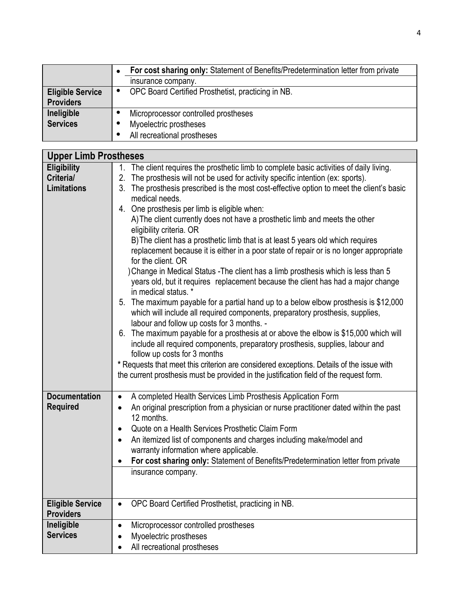|                         | For cost sharing only: Statement of Benefits/Predetermination letter from private |  |
|-------------------------|-----------------------------------------------------------------------------------|--|
|                         | insurance company.                                                                |  |
| <b>Eligible Service</b> | OPC Board Certified Prosthetist, practicing in NB.<br>$\bullet$                   |  |
| <b>Providers</b>        |                                                                                   |  |
| Ineligible              | Microprocessor controlled prostheses                                              |  |
| <b>Services</b>         | Myoelectric prostheses                                                            |  |
|                         | All recreational prostheses                                                       |  |

| <b>Upper Limb Prostheses</b> |                                                                                                    |  |  |
|------------------------------|----------------------------------------------------------------------------------------------------|--|--|
| <b>Eligibility</b>           | 1. The client requires the prosthetic limb to complete basic activities of daily living.           |  |  |
| Criteria/                    | 2.<br>The prosthesis will not be used for activity specific intention (ex: sports).                |  |  |
| <b>Limitations</b>           | The prosthesis prescribed is the most cost-effective option to meet the client's basic<br>3.       |  |  |
|                              | medical needs.                                                                                     |  |  |
|                              | 4. One prosthesis per limb is eligible when:                                                       |  |  |
|                              | A) The client currently does not have a prosthetic limb and meets the other                        |  |  |
|                              | eligibility criteria. OR                                                                           |  |  |
|                              | B) The client has a prosthetic limb that is at least 5 years old which requires                    |  |  |
|                              | replacement because it is either in a poor state of repair or is no longer appropriate             |  |  |
|                              | for the client. OR                                                                                 |  |  |
|                              | ) Change in Medical Status - The client has a limb prosthesis which is less than 5                 |  |  |
|                              | years old, but it requires replacement because the client has had a major change                   |  |  |
|                              | in medical status. *                                                                               |  |  |
|                              | The maximum payable for a partial hand up to a below elbow prosthesis is \$12,000<br>5.            |  |  |
|                              | which will include all required components, preparatory prosthesis, supplies,                      |  |  |
|                              | labour and follow up costs for 3 months. -                                                         |  |  |
|                              | 6. The maximum payable for a prosthesis at or above the elbow is \$15,000 which will               |  |  |
|                              | include all required components, preparatory prosthesis, supplies, labour and                      |  |  |
|                              | follow up costs for 3 months                                                                       |  |  |
|                              | * Requests that meet this criterion are considered exceptions. Details of the issue with           |  |  |
|                              | the current prosthesis must be provided in the justification field of the request form.            |  |  |
| <b>Documentation</b>         | A completed Health Services Limb Prosthesis Application Form<br>$\bullet$                          |  |  |
| <b>Required</b>              | An original prescription from a physician or nurse practitioner dated within the past<br>$\bullet$ |  |  |
|                              | 12 months.                                                                                         |  |  |
|                              | Quote on a Health Services Prosthetic Claim Form                                                   |  |  |
|                              | An itemized list of components and charges including make/model and<br>$\bullet$                   |  |  |
|                              | warranty information where applicable.                                                             |  |  |
|                              | For cost sharing only: Statement of Benefits/Predetermination letter from private<br>$\bullet$     |  |  |
|                              | insurance company.                                                                                 |  |  |
|                              |                                                                                                    |  |  |
|                              |                                                                                                    |  |  |
| <b>Eligible Service</b>      | OPC Board Certified Prosthetist, practicing in NB.                                                 |  |  |
| <b>Providers</b>             |                                                                                                    |  |  |
| Ineligible                   | Microprocessor controlled prostheses<br>$\bullet$                                                  |  |  |
| <b>Services</b>              | Myoelectric prostheses                                                                             |  |  |
|                              | All recreational prostheses                                                                        |  |  |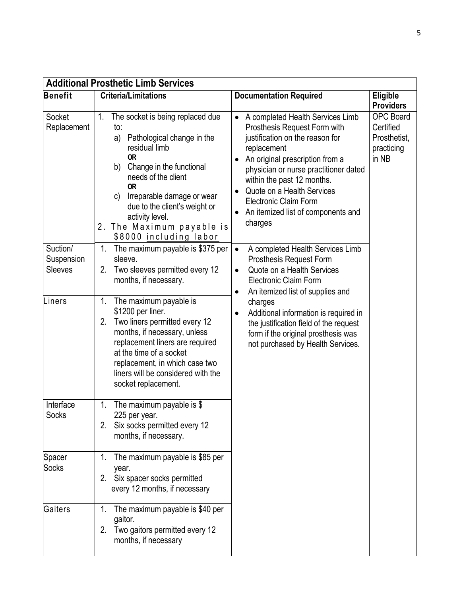| <b>Additional Prosthetic Limb Services</b> |                                                                                                                                                                                                                                                                                                                                                         |                                                                                                                                                                                                                                                                                                                                                                       |                                                                      |  |
|--------------------------------------------|---------------------------------------------------------------------------------------------------------------------------------------------------------------------------------------------------------------------------------------------------------------------------------------------------------------------------------------------------------|-----------------------------------------------------------------------------------------------------------------------------------------------------------------------------------------------------------------------------------------------------------------------------------------------------------------------------------------------------------------------|----------------------------------------------------------------------|--|
| <b>Benefit</b>                             | <b>Criteria/Limitations</b>                                                                                                                                                                                                                                                                                                                             | <b>Documentation Required</b>                                                                                                                                                                                                                                                                                                                                         | Eligible<br><b>Providers</b>                                         |  |
| Socket<br>Replacement                      | The socket is being replaced due<br>$1_{\cdot}$<br>to:<br>Pathological change in the<br>a)<br>residual limb<br><b>OR</b><br>Change in the functional<br>b)<br>needs of the client<br><b>OR</b><br>Irreparable damage or wear<br>$\mathsf{C}$<br>due to the client's weight or<br>activity level.<br>2. The Maximum payable is<br>\$8000 including labor | A completed Health Services Limb<br>$\bullet$<br>Prosthesis Request Form with<br>justification on the reason for<br>replacement<br>An original prescription from a<br>physician or nurse practitioner dated<br>within the past 12 months.<br>Quote on a Health Services<br>$\bullet$<br><b>Electronic Claim Form</b><br>An itemized list of components and<br>charges | <b>OPC Board</b><br>Certified<br>Prosthetist,<br>practicing<br>in NB |  |
| Suction/<br>Suspension<br>Sleeves          | The maximum payable is \$375 per<br>1.<br>sleeve.<br>Two sleeves permitted every 12<br>2.<br>months, if necessary.                                                                                                                                                                                                                                      | A completed Health Services Limb<br>$\bullet$<br>Prosthesis Request Form<br>Quote on a Health Services<br>$\bullet$<br><b>Electronic Claim Form</b><br>An itemized list of supplies and<br>$\bullet$                                                                                                                                                                  |                                                                      |  |
| Liners                                     | 1.<br>The maximum payable is<br>\$1200 per liner.<br>2.<br>Two liners permitted every 12<br>months, if necessary, unless<br>replacement liners are required<br>at the time of a socket<br>replacement, in which case two<br>liners will be considered with the<br>socket replacement.                                                                   | charges<br>Additional information is required in<br>$\bullet$<br>the justification field of the request<br>form if the original prosthesis was<br>not purchased by Health Services.                                                                                                                                                                                   |                                                                      |  |
| Interface<br>Socks                         | The maximum payable is $$$<br>1.<br>225 per year.<br>Six socks permitted every 12<br>2.<br>months, if necessary.                                                                                                                                                                                                                                        |                                                                                                                                                                                                                                                                                                                                                                       |                                                                      |  |
| Spacer<br><b>Socks</b>                     | The maximum payable is \$85 per<br>1.<br>year.<br>Six spacer socks permitted<br>2.<br>every 12 months, if necessary                                                                                                                                                                                                                                     |                                                                                                                                                                                                                                                                                                                                                                       |                                                                      |  |
| Gaiters                                    | The maximum payable is \$40 per<br>1.<br>gaitor.<br>Two gaitors permitted every 12<br>2.<br>months, if necessary                                                                                                                                                                                                                                        |                                                                                                                                                                                                                                                                                                                                                                       |                                                                      |  |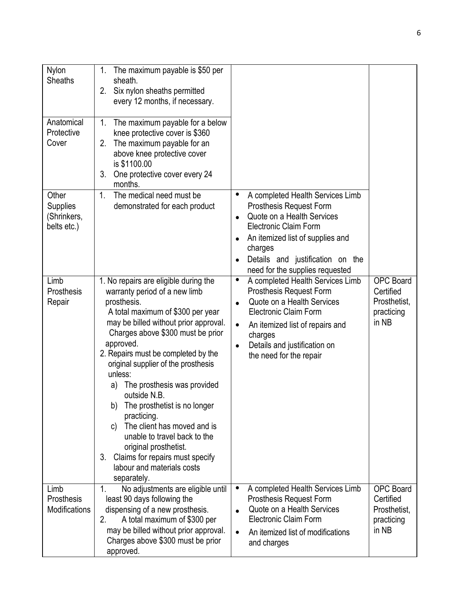| Nylon<br><b>Sheaths</b>                         | The maximum payable is \$50 per<br>1.<br>sheath.<br>Six nylon sheaths permitted<br>2.<br>every 12 months, if necessary.                                                                                                                                                                                                                                                                                                                                                                                                                                                                                     |                                                                                                                                                                                                                                                                                  |                                                                      |
|-------------------------------------------------|-------------------------------------------------------------------------------------------------------------------------------------------------------------------------------------------------------------------------------------------------------------------------------------------------------------------------------------------------------------------------------------------------------------------------------------------------------------------------------------------------------------------------------------------------------------------------------------------------------------|----------------------------------------------------------------------------------------------------------------------------------------------------------------------------------------------------------------------------------------------------------------------------------|----------------------------------------------------------------------|
| Anatomical<br>Protective<br>Cover               | 1.<br>The maximum payable for a below<br>knee protective cover is \$360<br>2.<br>The maximum payable for an<br>above knee protective cover<br>is \$1100.00<br>One protective cover every 24<br>3.<br>months.                                                                                                                                                                                                                                                                                                                                                                                                |                                                                                                                                                                                                                                                                                  |                                                                      |
| Other<br>Supplies<br>(Shrinkers,<br>belts etc.) | The medical need must be<br>1 <sub>1</sub><br>demonstrated for each product                                                                                                                                                                                                                                                                                                                                                                                                                                                                                                                                 | A completed Health Services Limb<br>$\bullet$<br><b>Prosthesis Request Form</b><br>Quote on a Health Services<br>$\bullet$<br><b>Electronic Claim Form</b><br>An itemized list of supplies and<br>charges<br>Details and justification on the<br>need for the supplies requested |                                                                      |
| Limb<br>Prosthesis<br>Repair                    | 1. No repairs are eligible during the<br>warranty period of a new limb<br>prosthesis.<br>A total maximum of \$300 per year<br>may be billed without prior approval.<br>Charges above \$300 must be prior<br>approved.<br>2. Repairs must be completed by the<br>original supplier of the prosthesis<br>unless:<br>The prosthesis was provided<br>a)<br>outside N.B.<br>The prosthetist is no longer<br>b)<br>practicing.<br>The client has moved and is<br>C)<br>unable to travel back to the<br>original prosthetist<br>Claims for repairs must specify<br>3.<br>labour and materials costs<br>separately. | A completed Health Services Limb<br>$\bullet$<br><b>Prosthesis Request Form</b><br>Quote on a Health Services<br><b>Electronic Claim Form</b><br>An itemized list of repairs and<br>$\bullet$<br>charges<br>Details and justification on<br>$\bullet$<br>the need for the repair | <b>OPC Board</b><br>Certified<br>Prosthetist,<br>practicing<br>in NB |
| Limb<br>Prosthesis<br><b>Modifications</b>      | No adjustments are eligible until<br>1.<br>least 90 days following the<br>dispensing of a new prosthesis.<br>2.<br>A total maximum of \$300 per<br>may be billed without prior approval.<br>Charges above \$300 must be prior<br>approved.                                                                                                                                                                                                                                                                                                                                                                  | A completed Health Services Limb<br>$\bullet$<br><b>Prosthesis Request Form</b><br>Quote on a Health Services<br><b>Electronic Claim Form</b><br>An itemized list of modifications<br>$\bullet$<br>and charges                                                                   | <b>OPC Board</b><br>Certified<br>Prosthetist,<br>practicing<br>in NB |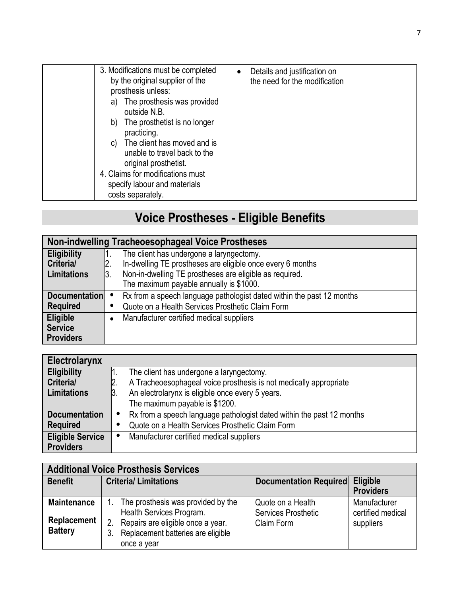| 3. Modifications must be completed<br>by the original supplier of the<br>prosthesis unless:<br>The prosthesis was provided<br>a)<br>outside N.B.<br>The prosthetist is no longer<br>b)<br>practicing.<br>The client has moved and is<br>C)<br>unable to travel back to the<br>original prosthetist.<br>4. Claims for modifications must<br>specify labour and materials<br>costs separately. | Details and justification on<br>the need for the modification |
|----------------------------------------------------------------------------------------------------------------------------------------------------------------------------------------------------------------------------------------------------------------------------------------------------------------------------------------------------------------------------------------------|---------------------------------------------------------------|
|----------------------------------------------------------------------------------------------------------------------------------------------------------------------------------------------------------------------------------------------------------------------------------------------------------------------------------------------------------------------------------------------|---------------------------------------------------------------|

# **Voice Prostheses - Eligible Benefits**

| <b>Non-indwelling Tracheoesophageal Voice Prostheses</b> |     |                                                                       |  |
|----------------------------------------------------------|-----|-----------------------------------------------------------------------|--|
| <b>Eligibility</b>                                       |     | The client has undergone a laryngectomy.                              |  |
| Criteria/                                                |     | In-dwelling TE prostheses are eligible once every 6 months            |  |
| <b>Limitations</b>                                       | 13. | Non-in-dwelling TE prostheses are eligible as required.               |  |
|                                                          |     | The maximum payable annually is \$1000.                               |  |
| <b>Documentation</b>                                     |     | Rx from a speech language pathologist dated within the past 12 months |  |
| <b>Required</b>                                          |     | Quote on a Health Services Prosthetic Claim Form                      |  |
| Eligible                                                 |     | Manufacturer certified medical suppliers                              |  |
| <b>Service</b>                                           |     |                                                                       |  |
| <b>Providers</b>                                         |     |                                                                       |  |

| Electrolarynx           |                                                                       |
|-------------------------|-----------------------------------------------------------------------|
| <b>Eligibility</b>      | The client has undergone a laryngectomy.                              |
| Criteria/               | A Tracheoesophageal voice prosthesis is not medically appropriate     |
| <b>Limitations</b>      | An electrolarynx is eligible once every 5 years.<br>13.               |
|                         | The maximum payable is \$1200.                                        |
| <b>Documentation</b>    | Rx from a speech language pathologist dated within the past 12 months |
| <b>Required</b>         | Quote on a Health Services Prosthetic Claim Form                      |
| <b>Eligible Service</b> | Manufacturer certified medical suppliers                              |
| <b>Providers</b>        |                                                                       |

| <b>Additional Voice Prosthesis Services</b>         |                                                                                                                                                                |                                                               |                                                |  |
|-----------------------------------------------------|----------------------------------------------------------------------------------------------------------------------------------------------------------------|---------------------------------------------------------------|------------------------------------------------|--|
| <b>Benefit</b>                                      | <b>Criteria/Limitations</b>                                                                                                                                    | Documentation Required Eligible                               | <b>Providers</b>                               |  |
| <b>Maintenance</b><br>Replacement<br><b>Battery</b> | The prosthesis was provided by the<br>Health Services Program.<br>Repairs are eligible once a year.<br>Replacement batteries are eligible<br>3.<br>once a year | Quote on a Health<br><b>Services Prosthetic</b><br>Claim Form | Manufacturer<br>certified medical<br>suppliers |  |